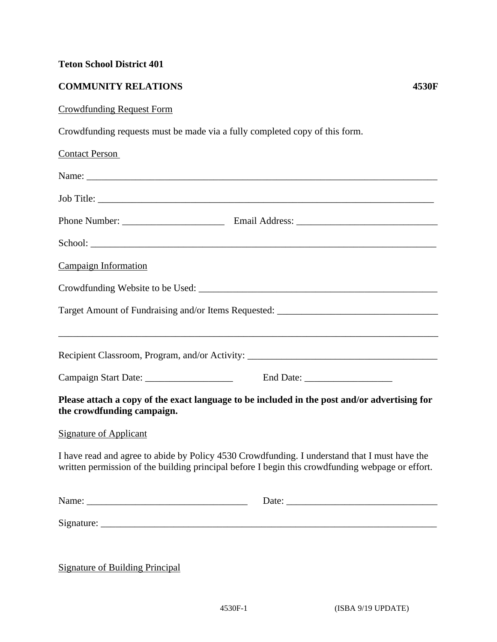## **Teton School District 401**

## **COMMUNITY RELATIONS 4530F**

## Crowdfunding Request Form

Crowdfunding requests must be made via a fully completed copy of this form.

| <b>Contact Person</b>                                                                                                                                                                                                         |  |  |
|-------------------------------------------------------------------------------------------------------------------------------------------------------------------------------------------------------------------------------|--|--|
| Name: Name: Name: Name: Name: Name: Name: Name: Name: Name: Name: Name: Name: Name: Name: Name: Name: Name: Name: Name: Name: Name: Name: Name: Name: Name: Name: Name: Name: Name: Name: Name: Name: Name: Name: Name: Name: |  |  |
|                                                                                                                                                                                                                               |  |  |
|                                                                                                                                                                                                                               |  |  |
|                                                                                                                                                                                                                               |  |  |
| <b>Campaign Information</b>                                                                                                                                                                                                   |  |  |
|                                                                                                                                                                                                                               |  |  |
| Target Amount of Fundraising and/or Items Requested: ____________________________                                                                                                                                             |  |  |
|                                                                                                                                                                                                                               |  |  |
| Recipient Classroom, Program, and/or Activity: __________________________________                                                                                                                                             |  |  |
|                                                                                                                                                                                                                               |  |  |
| Please attach a copy of the exact language to be included in the post and/or advertising for<br>the crowdfunding campaign.                                                                                                    |  |  |
| <b>Signature of Applicant</b>                                                                                                                                                                                                 |  |  |
| I have read and agree to abide by Policy 4530 Crowdfunding. I understand that I must have the<br>written permission of the building principal before I begin this crowdfunding webpage or effort.                             |  |  |
| Name:                                                                                                                                                                                                                         |  |  |
|                                                                                                                                                                                                                               |  |  |
|                                                                                                                                                                                                                               |  |  |

Signature of Building Principal